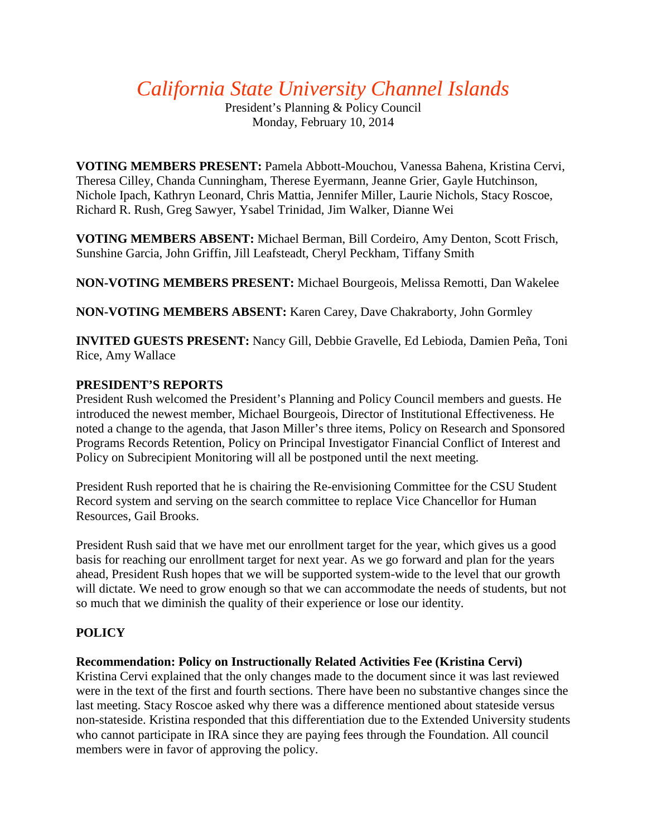# *California State University Channel Islands*

President's Planning & Policy Council Monday, February 10, 2014

**VOTING MEMBERS PRESENT:** Pamela Abbott-Mouchou, Vanessa Bahena, Kristina Cervi, Theresa Cilley, Chanda Cunningham, Therese Eyermann, Jeanne Grier, Gayle Hutchinson, Nichole Ipach, Kathryn Leonard, Chris Mattia, Jennifer Miller, Laurie Nichols, Stacy Roscoe, Richard R. Rush, Greg Sawyer, Ysabel Trinidad, Jim Walker, Dianne Wei

**VOTING MEMBERS ABSENT:** Michael Berman, Bill Cordeiro, Amy Denton, Scott Frisch, Sunshine Garcia, John Griffin, Jill Leafsteadt, Cheryl Peckham, Tiffany Smith

**NON-VOTING MEMBERS PRESENT:** Michael Bourgeois, Melissa Remotti, Dan Wakelee

**NON-VOTING MEMBERS ABSENT:** Karen Carey, Dave Chakraborty, John Gormley

**INVITED GUESTS PRESENT:** Nancy Gill, Debbie Gravelle, Ed Lebioda, Damien Peña, Toni Rice, Amy Wallace

# **PRESIDENT'S REPORTS**

President Rush welcomed the President's Planning and Policy Council members and guests. He introduced the newest member, Michael Bourgeois, Director of Institutional Effectiveness. He noted a change to the agenda, that Jason Miller's three items, Policy on Research and Sponsored Programs Records Retention, Policy on Principal Investigator Financial Conflict of Interest and Policy on Subrecipient Monitoring will all be postponed until the next meeting.

President Rush reported that he is chairing the Re-envisioning Committee for the CSU Student Record system and serving on the search committee to replace Vice Chancellor for Human Resources, Gail Brooks.

President Rush said that we have met our enrollment target for the year, which gives us a good basis for reaching our enrollment target for next year. As we go forward and plan for the years ahead, President Rush hopes that we will be supported system-wide to the level that our growth will dictate. We need to grow enough so that we can accommodate the needs of students, but not so much that we diminish the quality of their experience or lose our identity.

# **POLICY**

# **Recommendation: Policy on Instructionally Related Activities Fee (Kristina Cervi)**

Kristina Cervi explained that the only changes made to the document since it was last reviewed were in the text of the first and fourth sections. There have been no substantive changes since the last meeting. Stacy Roscoe asked why there was a difference mentioned about stateside versus non-stateside. Kristina responded that this differentiation due to the Extended University students who cannot participate in IRA since they are paying fees through the Foundation. All council members were in favor of approving the policy.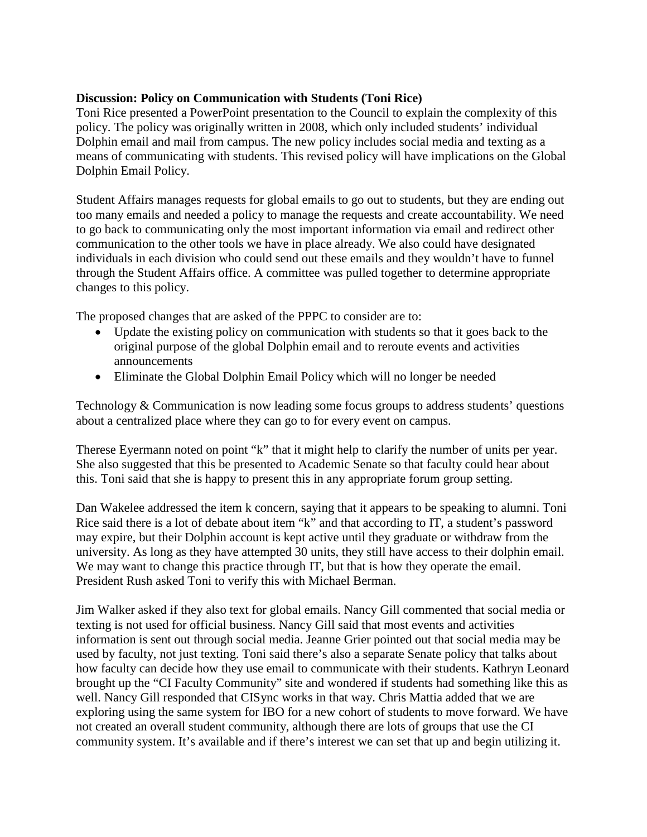#### **Discussion: Policy on Communication with Students (Toni Rice)**

Toni Rice presented a PowerPoint presentation to the Council to explain the complexity of this policy. The policy was originally written in 2008, which only included students' individual Dolphin email and mail from campus. The new policy includes social media and texting as a means of communicating with students. This revised policy will have implications on the Global Dolphin Email Policy.

Student Affairs manages requests for global emails to go out to students, but they are ending out too many emails and needed a policy to manage the requests and create accountability. We need to go back to communicating only the most important information via email and redirect other communication to the other tools we have in place already. We also could have designated individuals in each division who could send out these emails and they wouldn't have to funnel through the Student Affairs office. A committee was pulled together to determine appropriate changes to this policy.

The proposed changes that are asked of the PPPC to consider are to:

- Update the existing policy on communication with students so that it goes back to the original purpose of the global Dolphin email and to reroute events and activities announcements
- Eliminate the Global Dolphin Email Policy which will no longer be needed

Technology & Communication is now leading some focus groups to address students' questions about a centralized place where they can go to for every event on campus.

Therese Eyermann noted on point "k" that it might help to clarify the number of units per year. She also suggested that this be presented to Academic Senate so that faculty could hear about this. Toni said that she is happy to present this in any appropriate forum group setting.

Dan Wakelee addressed the item k concern, saying that it appears to be speaking to alumni. Toni Rice said there is a lot of debate about item "k" and that according to IT, a student's password may expire, but their Dolphin account is kept active until they graduate or withdraw from the university. As long as they have attempted 30 units, they still have access to their dolphin email. We may want to change this practice through IT, but that is how they operate the email. President Rush asked Toni to verify this with Michael Berman.

Jim Walker asked if they also text for global emails. Nancy Gill commented that social media or texting is not used for official business. Nancy Gill said that most events and activities information is sent out through social media. Jeanne Grier pointed out that social media may be used by faculty, not just texting. Toni said there's also a separate Senate policy that talks about how faculty can decide how they use email to communicate with their students. Kathryn Leonard brought up the "CI Faculty Community" site and wondered if students had something like this as well. Nancy Gill responded that CISync works in that way. Chris Mattia added that we are exploring using the same system for IBO for a new cohort of students to move forward. We have not created an overall student community, although there are lots of groups that use the CI community system. It's available and if there's interest we can set that up and begin utilizing it.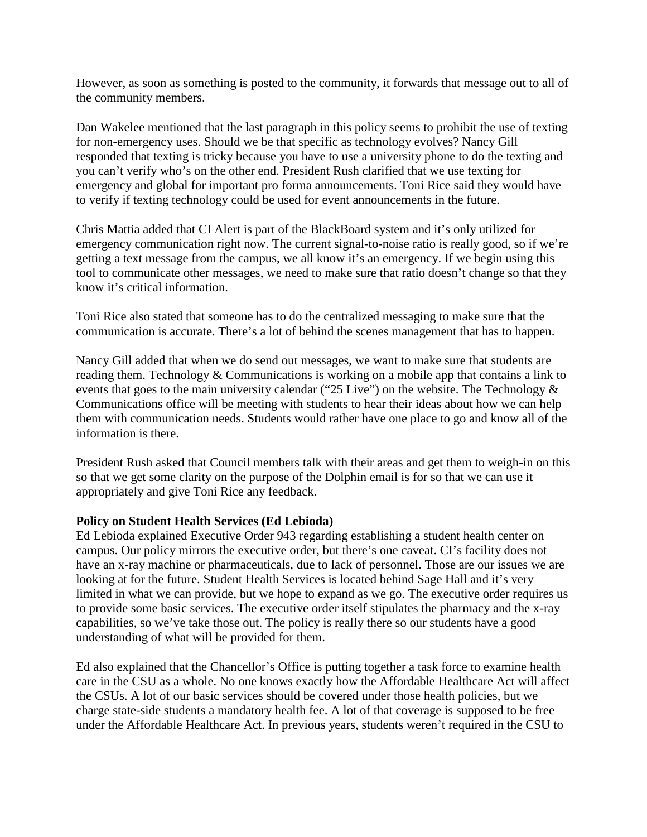However, as soon as something is posted to the community, it forwards that message out to all of the community members.

Dan Wakelee mentioned that the last paragraph in this policy seems to prohibit the use of texting for non-emergency uses. Should we be that specific as technology evolves? Nancy Gill responded that texting is tricky because you have to use a university phone to do the texting and you can't verify who's on the other end. President Rush clarified that we use texting for emergency and global for important pro forma announcements. Toni Rice said they would have to verify if texting technology could be used for event announcements in the future.

Chris Mattia added that CI Alert is part of the BlackBoard system and it's only utilized for emergency communication right now. The current signal-to-noise ratio is really good, so if we're getting a text message from the campus, we all know it's an emergency. If we begin using this tool to communicate other messages, we need to make sure that ratio doesn't change so that they know it's critical information.

Toni Rice also stated that someone has to do the centralized messaging to make sure that the communication is accurate. There's a lot of behind the scenes management that has to happen.

Nancy Gill added that when we do send out messages, we want to make sure that students are reading them. Technology & Communications is working on a mobile app that contains a link to events that goes to the main university calendar ("25 Live") on the website. The Technology  $\&$ Communications office will be meeting with students to hear their ideas about how we can help them with communication needs. Students would rather have one place to go and know all of the information is there.

President Rush asked that Council members talk with their areas and get them to weigh-in on this so that we get some clarity on the purpose of the Dolphin email is for so that we can use it appropriately and give Toni Rice any feedback.

#### **Policy on Student Health Services (Ed Lebioda)**

Ed Lebioda explained Executive Order 943 regarding establishing a student health center on campus. Our policy mirrors the executive order, but there's one caveat. CI's facility does not have an x-ray machine or pharmaceuticals, due to lack of personnel. Those are our issues we are looking at for the future. Student Health Services is located behind Sage Hall and it's very limited in what we can provide, but we hope to expand as we go. The executive order requires us to provide some basic services. The executive order itself stipulates the pharmacy and the x-ray capabilities, so we've take those out. The policy is really there so our students have a good understanding of what will be provided for them.

Ed also explained that the Chancellor's Office is putting together a task force to examine health care in the CSU as a whole. No one knows exactly how the Affordable Healthcare Act will affect the CSUs. A lot of our basic services should be covered under those health policies, but we charge state-side students a mandatory health fee. A lot of that coverage is supposed to be free under the Affordable Healthcare Act. In previous years, students weren't required in the CSU to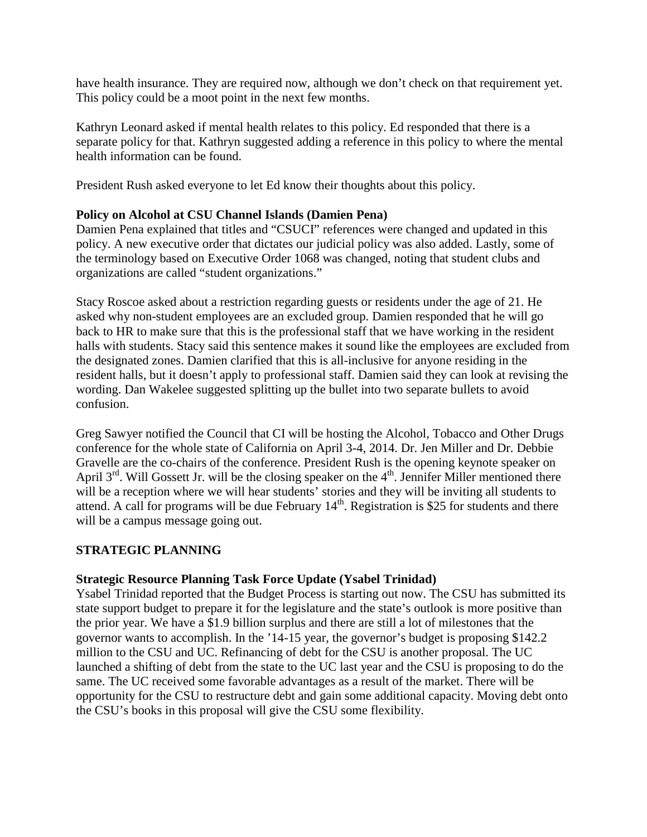have health insurance. They are required now, although we don't check on that requirement yet. This policy could be a moot point in the next few months.

Kathryn Leonard asked if mental health relates to this policy. Ed responded that there is a separate policy for that. Kathryn suggested adding a reference in this policy to where the mental health information can be found.

President Rush asked everyone to let Ed know their thoughts about this policy.

#### **Policy on Alcohol at CSU Channel Islands (Damien Pena)**

Damien Pena explained that titles and "CSUCI" references were changed and updated in this policy. A new executive order that dictates our judicial policy was also added. Lastly, some of the terminology based on Executive Order 1068 was changed, noting that student clubs and organizations are called "student organizations."

Stacy Roscoe asked about a restriction regarding guests or residents under the age of 21. He asked why non-student employees are an excluded group. Damien responded that he will go back to HR to make sure that this is the professional staff that we have working in the resident halls with students. Stacy said this sentence makes it sound like the employees are excluded from the designated zones. Damien clarified that this is all-inclusive for anyone residing in the resident halls, but it doesn't apply to professional staff. Damien said they can look at revising the wording. Dan Wakelee suggested splitting up the bullet into two separate bullets to avoid confusion.

Greg Sawyer notified the Council that CI will be hosting the Alcohol, Tobacco and Other Drugs conference for the whole state of California on April 3-4, 2014. Dr. Jen Miller and Dr. Debbie Gravelle are the co-chairs of the conference. President Rush is the opening keynote speaker on April  $3^{rd}$ . Will Gossett Jr. will be the closing speaker on the  $4^{th}$ . Jennifer Miller mentioned there will be a reception where we will hear students' stories and they will be inviting all students to attend. A call for programs will be due February  $14<sup>th</sup>$ . Registration is \$25 for students and there will be a campus message going out.

#### **STRATEGIC PLANNING**

#### **Strategic Resource Planning Task Force Update (Ysabel Trinidad)**

Ysabel Trinidad reported that the Budget Process is starting out now. The CSU has submitted its state support budget to prepare it for the legislature and the state's outlook is more positive than the prior year. We have a \$1.9 billion surplus and there are still a lot of milestones that the governor wants to accomplish. In the '14-15 year, the governor's budget is proposing \$142.2 million to the CSU and UC. Refinancing of debt for the CSU is another proposal. The UC launched a shifting of debt from the state to the UC last year and the CSU is proposing to do the same. The UC received some favorable advantages as a result of the market. There will be opportunity for the CSU to restructure debt and gain some additional capacity. Moving debt onto the CSU's books in this proposal will give the CSU some flexibility.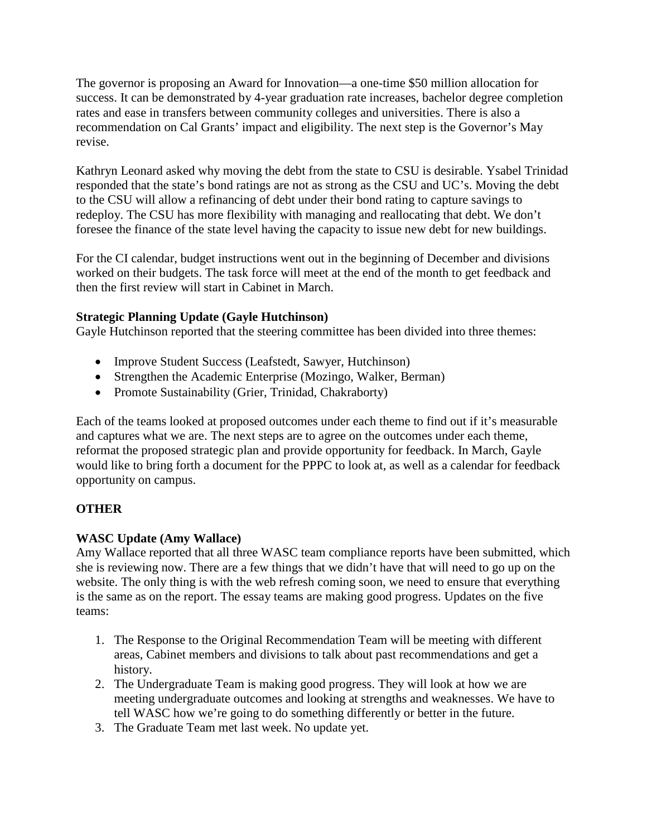The governor is proposing an Award for Innovation—a one-time \$50 million allocation for success. It can be demonstrated by 4-year graduation rate increases, bachelor degree completion rates and ease in transfers between community colleges and universities. There is also a recommendation on Cal Grants' impact and eligibility. The next step is the Governor's May revise.

Kathryn Leonard asked why moving the debt from the state to CSU is desirable. Ysabel Trinidad responded that the state's bond ratings are not as strong as the CSU and UC's. Moving the debt to the CSU will allow a refinancing of debt under their bond rating to capture savings to redeploy. The CSU has more flexibility with managing and reallocating that debt. We don't foresee the finance of the state level having the capacity to issue new debt for new buildings.

For the CI calendar, budget instructions went out in the beginning of December and divisions worked on their budgets. The task force will meet at the end of the month to get feedback and then the first review will start in Cabinet in March.

### **Strategic Planning Update (Gayle Hutchinson)**

Gayle Hutchinson reported that the steering committee has been divided into three themes:

- Improve Student Success (Leafstedt, Sawyer, Hutchinson)
- Strengthen the Academic Enterprise (Mozingo, Walker, Berman)
- Promote Sustainability (Grier, Trinidad, Chakraborty)

Each of the teams looked at proposed outcomes under each theme to find out if it's measurable and captures what we are. The next steps are to agree on the outcomes under each theme, reformat the proposed strategic plan and provide opportunity for feedback. In March, Gayle would like to bring forth a document for the PPPC to look at, as well as a calendar for feedback opportunity on campus.

# **OTHER**

# **WASC Update (Amy Wallace)**

Amy Wallace reported that all three WASC team compliance reports have been submitted, which she is reviewing now. There are a few things that we didn't have that will need to go up on the website. The only thing is with the web refresh coming soon, we need to ensure that everything is the same as on the report. The essay teams are making good progress. Updates on the five teams:

- 1. The Response to the Original Recommendation Team will be meeting with different areas, Cabinet members and divisions to talk about past recommendations and get a history.
- 2. The Undergraduate Team is making good progress. They will look at how we are meeting undergraduate outcomes and looking at strengths and weaknesses. We have to tell WASC how we're going to do something differently or better in the future.
- 3. The Graduate Team met last week. No update yet.